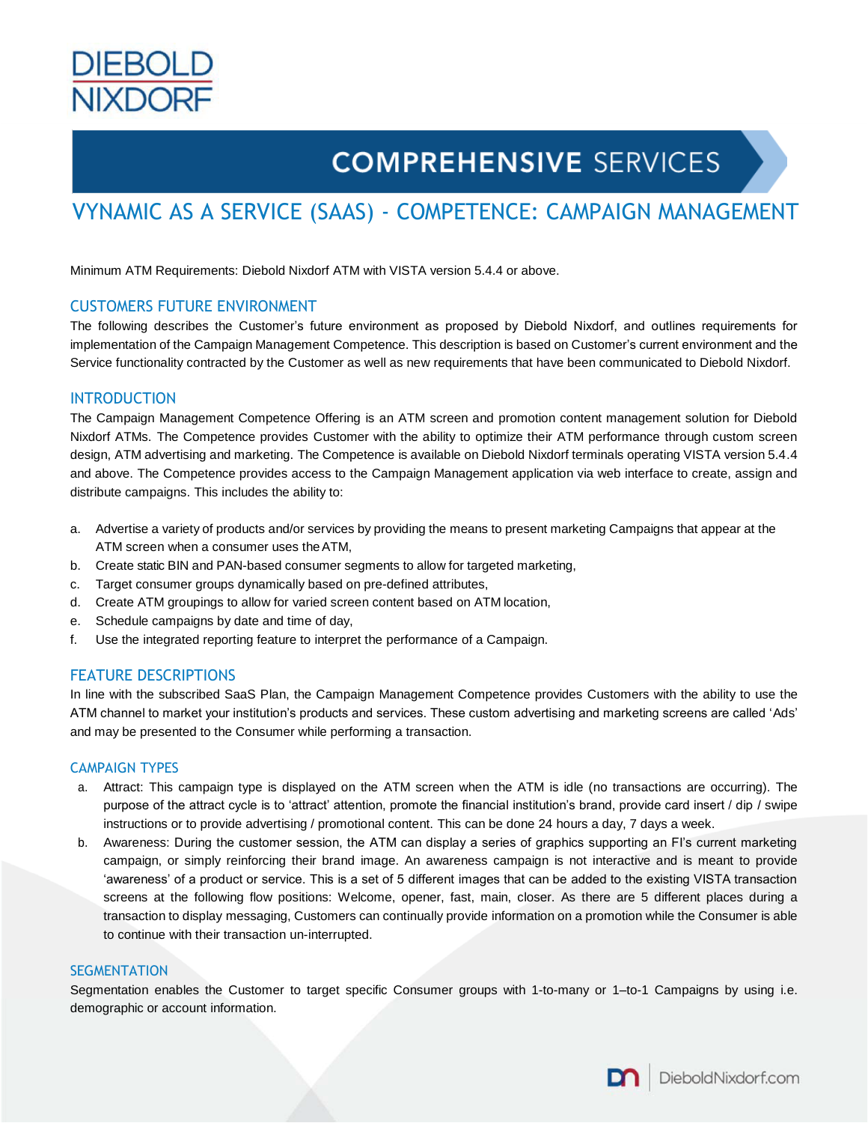

# **COMPREHENSIVE SERVICES**

# VYNAMIC AS A SERVICE (SAAS) - COMPETENCE: CAMPAIGN MANAGEMENT

Minimum ATM Requirements: Diebold Nixdorf ATM with VISTA version 5.4.4 or above.

# CUSTOMERS FUTURE ENVIRONMENT

The following describes the Customer's future environment as proposed by Diebold Nixdorf, and outlines requirements for implementation of the Campaign Management Competence. This description is based on Customer's current environment and the Service functionality contracted by the Customer as well as new requirements that have been communicated to Diebold Nixdorf.

#### INTRODUCTION

The Campaign Management Competence Offering is an ATM screen and promotion content management solution for Diebold Nixdorf ATMs. The Competence provides Customer with the ability to optimize their ATM performance through custom screen design, ATM advertising and marketing. The Competence is available on Diebold Nixdorf terminals operating VISTA version 5.4.4 and above. The Competence provides access to the Campaign Management application via web interface to create, assign and distribute campaigns. This includes the ability to:

- a. Advertise a variety of products and/or services by providing the means to present marketing Campaigns that appear at the ATM screen when a consumer uses theATM,
- b. Create static BIN and PAN-based consumer segments to allow for targeted marketing,
- c. Target consumer groups dynamically based on pre-defined attributes,
- d. Create ATM groupings to allow for varied screen content based on ATM location,
- e. Schedule campaigns by date and time of day,
- f. Use the integrated reporting feature to interpret the performance of a Campaign.

# FEATURE DESCRIPTIONS

In line with the subscribed SaaS Plan, the Campaign Management Competence provides Customers with the ability to use the ATM channel to market your institution's products and services. These custom advertising and marketing screens are called 'Ads' and may be presented to the Consumer while performing a transaction.

#### CAMPAIGN TYPES

- a. Attract: This campaign type is displayed on the ATM screen when the ATM is idle (no transactions are occurring). The purpose of the attract cycle is to 'attract' attention, promote the financial institution's brand, provide card insert / dip / swipe instructions or to provide advertising / promotional content. This can be done 24 hours a day, 7 days a week.
- b. Awareness: During the customer session, the ATM can display a series of graphics supporting an FI's current marketing campaign, or simply reinforcing their brand image. An awareness campaign is not interactive and is meant to provide 'awareness' of a product or service. This is a set of 5 different images that can be added to the existing VISTA transaction screens at the following flow positions: Welcome, opener, fast, main, closer. As there are 5 different places during a transaction to display messaging, Customers can continually provide information on a promotion while the Consumer is able to continue with their transaction un-interrupted.

#### **SEGMENTATION**

Segmentation enables the Customer to target specific Consumer groups with 1-to-many or 1–to-1 Campaigns by using i.e. demographic or account information.

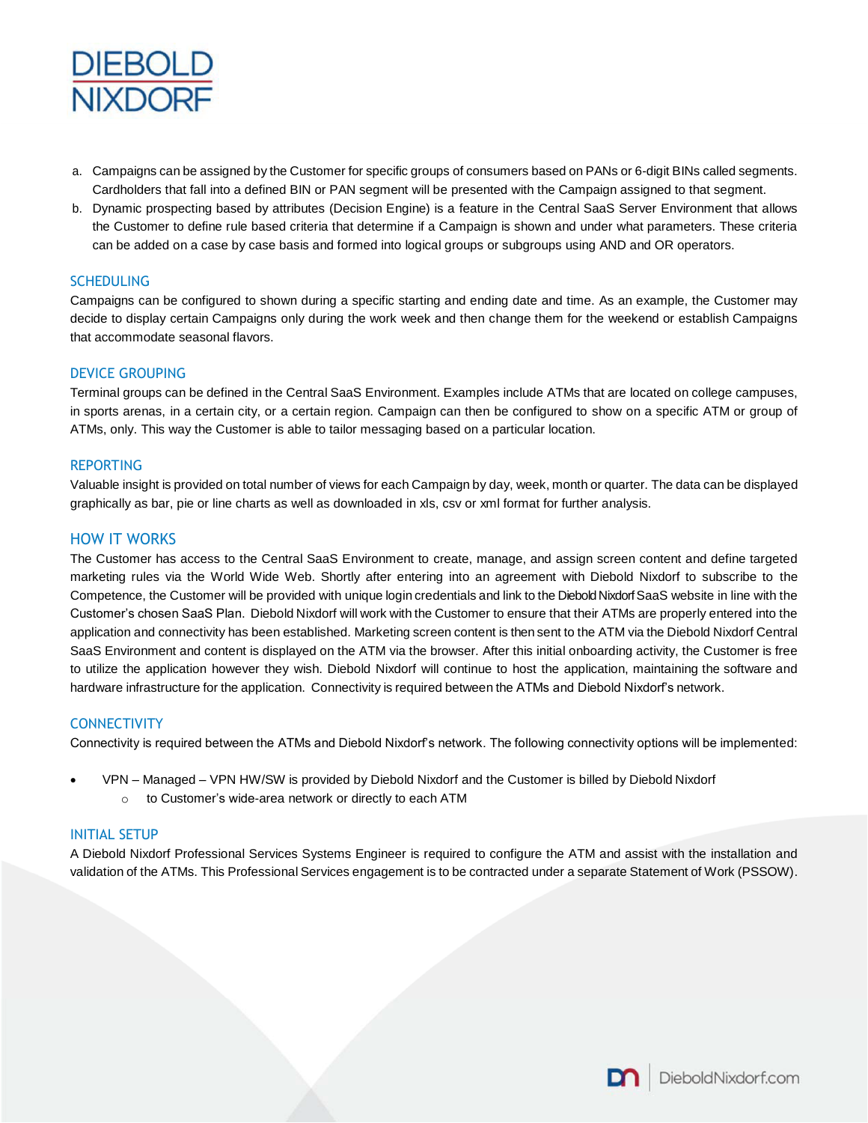

- a. Campaigns can be assigned by the Customer for specific groups of consumers based on PANs or 6-digit BINs called segments. Cardholders that fall into a defined BIN or PAN segment will be presented with the Campaign assigned to that segment.
- b. Dynamic prospecting based by attributes (Decision Engine) is a feature in the Central SaaS Server Environment that allows the Customer to define rule based criteria that determine if a Campaign is shown and under what parameters. These criteria can be added on a case by case basis and formed into logical groups or subgroups using AND and OR operators.

# **SCHEDULING**

Campaigns can be configured to shown during a specific starting and ending date and time. As an example, the Customer may decide to display certain Campaigns only during the work week and then change them for the weekend or establish Campaigns that accommodate seasonal flavors.

# DEVICE GROUPING

Terminal groups can be defined in the Central SaaS Environment. Examples include ATMs that are located on college campuses, in sports arenas, in a certain city, or a certain region. Campaign can then be configured to show on a specific ATM or group of ATMs, only. This way the Customer is able to tailor messaging based on a particular location.

# REPORTING

Valuable insight is provided on total number of views for each Campaign by day, week, month or quarter. The data can be displayed graphically as bar, pie or line charts as well as downloaded in xls, csv or xml format for further analysis.

# HOW IT WORKS

The Customer has access to the Central SaaS Environment to create, manage, and assign screen content and define targeted marketing rules via the World Wide Web. Shortly after entering into an agreement with Diebold Nixdorf to subscribe to the Competence, the Customer will be provided with unique login credentials and link to the Diebold Nixdorf SaaS website in line with the Customer's chosen SaaS Plan. Diebold Nixdorf will work with the Customer to ensure that their ATMs are properly entered into the application and connectivity has been established. Marketing screen content is then sent to the ATM via the Diebold Nixdorf Central SaaS Environment and content is displayed on the ATM via the browser. After this initial onboarding activity, the Customer is free to utilize the application however they wish. Diebold Nixdorf will continue to host the application, maintaining the software and hardware infrastructure for the application. Connectivity is required between the ATMs and Diebold Nixdorf's network.

# **CONNECTIVITY**

Connectivity is required between the ATMs and Diebold Nixdorf's network. The following connectivity options will be implemented:

- VPN Managed VPN HW/SW is provided by Diebold Nixdorf and the Customer is billed by Diebold Nixdorf
	- o to Customer's wide-area network or directly to each ATM

# INITIAL SETUP

A Diebold Nixdorf Professional Services Systems Engineer is required to configure the ATM and assist with the installation and validation of the ATMs. This Professional Services engagement is to be contracted under a separate Statement of Work (PSSOW).

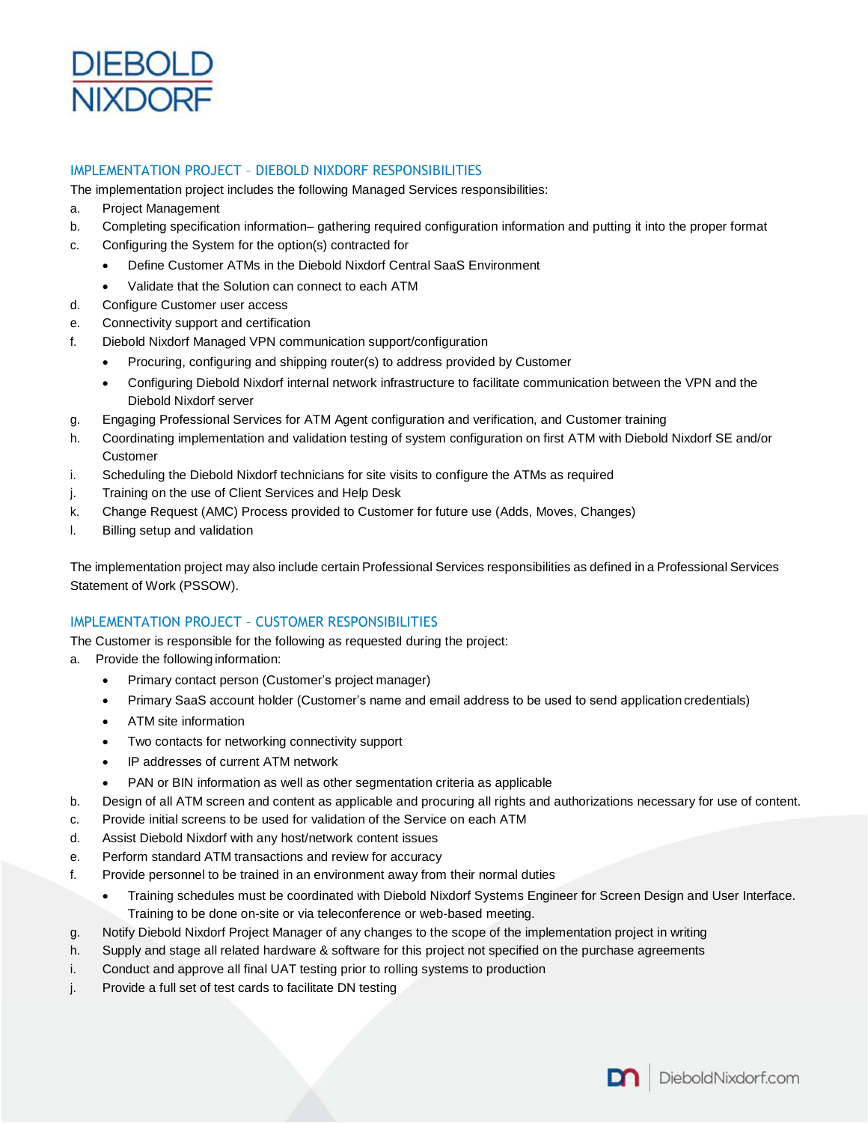

# IMPLEMENTATION PROJECT – DIEBOLD NIXDORF RESPONSIBILITIES

The implementation project includes the following Managed Services responsibilities:

- a. Project Management
- b. Completing specification information– gathering required configuration information and putting it into the proper format
- c. Configuring the System for the option(s) contracted for
	- Define Customer ATMs in the Diebold Nixdorf Central SaaS Environment
	- Validate that the Solution can connect to each ATM
- d. Configure Customer user access
- e. Connectivity support and certification
- f. Diebold Nixdorf Managed VPN communication support/configuration
	- Procuring, configuring and shipping router(s) to address provided by Customer
		- Configuring Diebold Nixdorf internal network infrastructure to facilitate communication between the VPN and the Diebold Nixdorf server
- g. Engaging Professional Services for ATM Agent configuration and verification, and Customer training
- h. Coordinating implementation and validation testing of system configuration on first ATM with Diebold Nixdorf SE and/or Customer
- i. Scheduling the Diebold Nixdorf technicians for site visits to configure the ATMs as required
- j. Training on the use of Client Services and Help Desk
- k. Change Request (AMC) Process provided to Customer for future use (Adds, Moves, Changes)
- l. Billing setup and validation

The implementation project may also include certain Professional Services responsibilities as defined in a Professional Services Statement of Work (PSSOW).

# IMPLEMENTATION PROJECT – CUSTOMER RESPONSIBILITIES

The Customer is responsible for the following as requested during the project:

- a. Provide the following information:
	- Primary contact person (Customer's project manager)
	- Primary SaaS account holder (Customer's name and email address to be used to send application credentials)
	- ATM site information
	- Two contacts for networking connectivity support
	- IP addresses of current ATM network
	- PAN or BIN information as well as other segmentation criteria as applicable
- b. Design of all ATM screen and content as applicable and procuring all rights and authorizations necessary for use of content.
- c. Provide initial screens to be used for validation of the Service on each ATM
- d. Assist Diebold Nixdorf with any host/network content issues
- e. Perform standard ATM transactions and review for accuracy
- f. Provide personnel to be trained in an environment away from their normal duties
	- Training schedules must be coordinated with Diebold Nixdorf Systems Engineer for Screen Design and User Interface. Training to be done on-site or via teleconference or web-based meeting.
- g. Notify Diebold Nixdorf Project Manager of any changes to the scope of the implementation project in writing
- h. Supply and stage all related hardware & software for this project not specified on the purchase agreements
- i. Conduct and approve all final UAT testing prior to rolling systems to production
- j. Provide a full set of test cards to facilitate DN testing

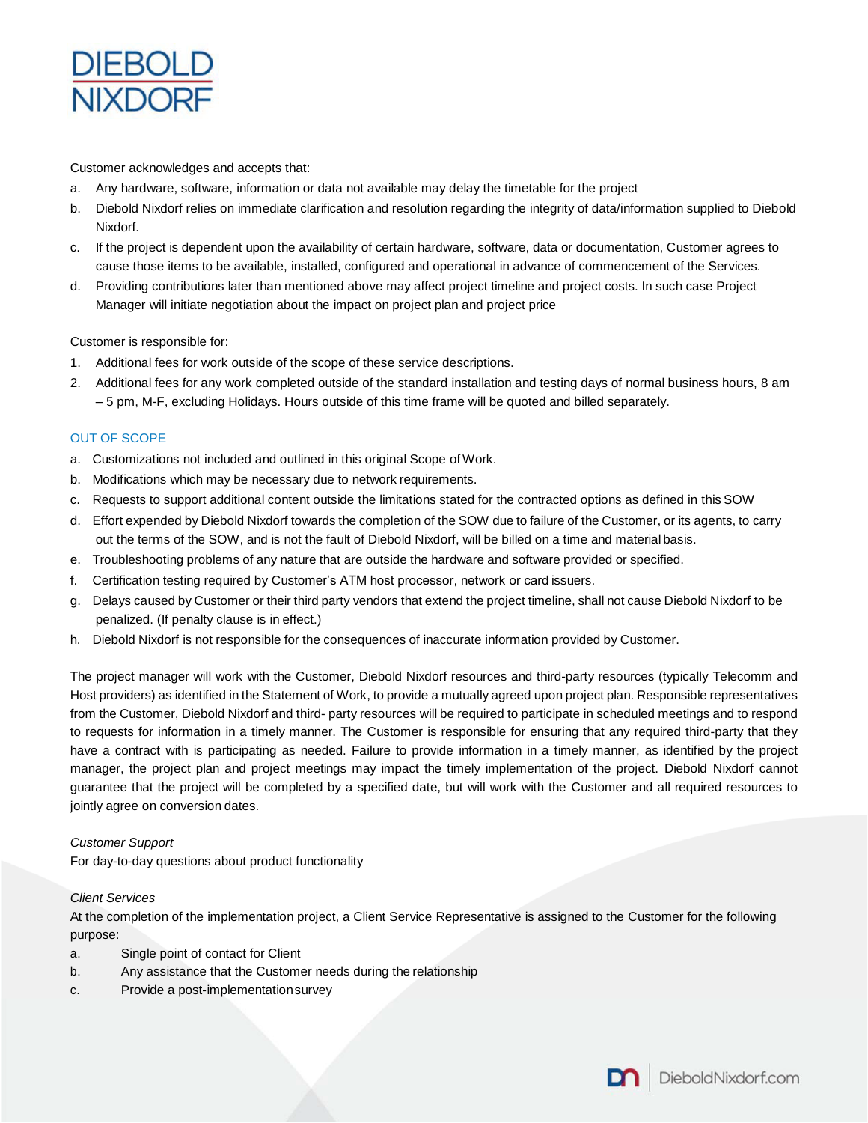

Customer acknowledges and accepts that:

- a. Any hardware, software, information or data not available may delay the timetable for the project
- b. Diebold Nixdorf relies on immediate clarification and resolution regarding the integrity of data/information supplied to Diebold Nixdorf.
- c. If the project is dependent upon the availability of certain hardware, software, data or documentation, Customer agrees to cause those items to be available, installed, configured and operational in advance of commencement of the Services.
- d. Providing contributions later than mentioned above may affect project timeline and project costs. In such case Project Manager will initiate negotiation about the impact on project plan and project price

Customer is responsible for:

- 1. Additional fees for work outside of the scope of these service descriptions.
- 2. Additional fees for any work completed outside of the standard installation and testing days of normal business hours, 8 am – 5 pm, M-F, excluding Holidays. Hours outside of this time frame will be quoted and billed separately.

# OUT OF SCOPE

- a. Customizations not included and outlined in this original Scope of Work.
- b. Modifications which may be necessary due to network requirements.
- c. Requests to support additional content outside the limitations stated for the contracted options as defined in this SOW
- d. Effort expended by Diebold Nixdorf towards the completion of the SOW due to failure of the Customer, or its agents, to carry out the terms of the SOW, and is not the fault of Diebold Nixdorf, will be billed on a time and material basis.
- e. Troubleshooting problems of any nature that are outside the hardware and software provided or specified.
- f. Certification testing required by Customer's ATM host processor, network or card issuers.
- Delays caused by Customer or their third party vendors that extend the project timeline, shall not cause Diebold Nixdorf to be penalized. (If penalty clause is in effect.)
- h. Diebold Nixdorf is not responsible for the consequences of inaccurate information provided by Customer.

The project manager will work with the Customer, Diebold Nixdorf resources and third-party resources (typically Telecomm and Host providers) as identified in the Statement of Work, to provide a mutually agreed upon project plan. Responsible representatives from the Customer, Diebold Nixdorf and third- party resources will be required to participate in scheduled meetings and to respond to requests for information in a timely manner. The Customer is responsible for ensuring that any required third-party that they have a contract with is participating as needed. Failure to provide information in a timely manner, as identified by the project manager, the project plan and project meetings may impact the timely implementation of the project. Diebold Nixdorf cannot guarantee that the project will be completed by a specified date, but will work with the Customer and all required resources to jointly agree on conversion dates.

# *Customer Support*

For day-to-day questions about product functionality

# *Client Services*

At the completion of the implementation project, a Client Service Representative is assigned to the Customer for the following purpose:

- a. Single point of contact for Client
- b. Any assistance that the Customer needs during the relationship
- c. Provide a post-implementationsurvey